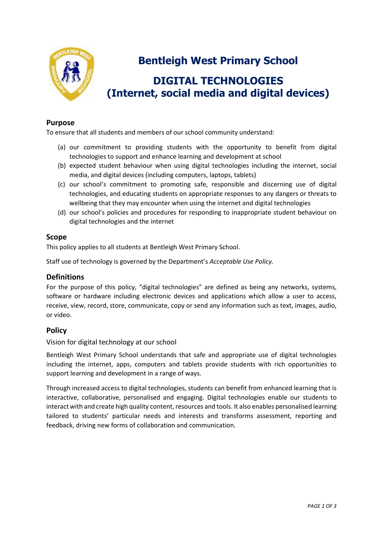

# **Bentleigh West Primary School**

# **DIGITAL TECHNOLOGIES (Internet, social media and digital devices)**

### **Purpose**

To ensure that all students and members of our school community understand:

- (a) our commitment to providing students with the opportunity to benefit from digital technologies to support and enhance learning and development at school
- (b) expected student behaviour when using digital technologies including the internet, social media, and digital devices (including computers, laptops, tablets)
- (c) our school's commitment to promoting safe, responsible and discerning use of digital technologies, and educating students on appropriate responses to any dangers or threats to wellbeing that they may encounter when using the internet and digital technologies
- (d) our school's policies and procedures for responding to inappropriate student behaviour on digital technologies and the internet

#### **Scope**

This policy applies to all students at Bentleigh West Primary School.

Staff use of technology is governed by the Department's *Acceptable Use Policy.*

#### **Definitions**

For the purpose of this policy, "digital technologies" are defined as being any networks, systems, software or hardware including electronic devices and applications which allow a user to access, receive, view, record, store, communicate, copy or send any information such as text, images, audio, or video.

#### **Policy**

Vision for digital technology at our school

Bentleigh West Primary School understands that safe and appropriate use of digital technologies including the internet, apps, computers and tablets provide students with rich opportunities to support learning and development in a range of ways.

Through increased access to digital technologies, students can benefit from enhanced learning that is interactive, collaborative, personalised and engaging. Digital technologies enable our students to interact with and create high quality content, resources and tools. It also enables personalised learning tailored to students' particular needs and interests and transforms assessment, reporting and feedback, driving new forms of collaboration and communication.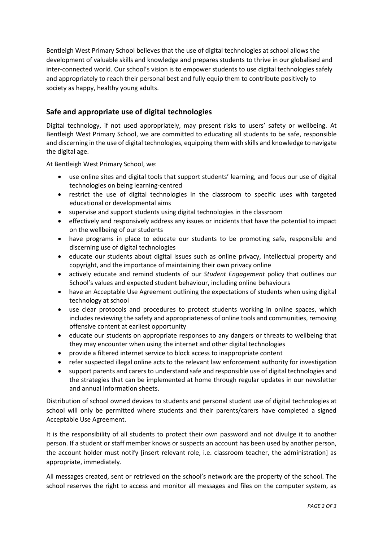Bentleigh West Primary School believes that the use of digital technologies at school allows the development of valuable skills and knowledge and prepares students to thrive in our globalised and inter-connected world. Our school's vision is to empower students to use digital technologies safely and appropriately to reach their personal best and fully equip them to contribute positively to society as happy, healthy young adults.

### **Safe and appropriate use of digital technologies**

Digital technology, if not used appropriately, may present risks to users' safety or wellbeing. At Bentleigh West Primary School, we are committed to educating all students to be safe, responsible and discerning in the use of digital technologies, equipping them with skills and knowledge to navigate the digital age.

At Bentleigh West Primary School, we:

- use online sites and digital tools that support students' learning, and focus our use of digital technologies on being learning-centred
- restrict the use of digital technologies in the classroom to specific uses with targeted educational or developmental aims
- supervise and support students using digital technologies in the classroom
- effectively and responsively address any issues or incidents that have the potential to impact on the wellbeing of our students
- have programs in place to educate our students to be promoting safe, responsible and discerning use of digital technologies
- educate our students about digital issues such as online privacy, intellectual property and copyright, and the importance of maintaining their own privacy online
- actively educate and remind students of our *Student Engagement* policy that outlines our School's values and expected student behaviour, including online behaviours
- have an Acceptable Use Agreement outlining the expectations of students when using digital technology at school
- use clear protocols and procedures to protect students working in online spaces, which includes reviewing the safety and appropriateness of online tools and communities, removing offensive content at earliest opportunity
- educate our students on appropriate responses to any dangers or threats to wellbeing that they may encounter when using the internet and other digital technologies
- provide a filtered internet service to block access to inappropriate content
- refer suspected illegal online acts to the relevant law enforcement authority for investigation
- support parents and carers to understand safe and responsible use of digital technologies and the strategies that can be implemented at home through regular updates in our newsletter and annual information sheets.

Distribution of school owned devices to students and personal student use of digital technologies at school will only be permitted where students and their parents/carers have completed a signed Acceptable Use Agreement.

It is the responsibility of all students to protect their own password and not divulge it to another person. If a student or staff member knows or suspects an account has been used by another person, the account holder must notify [insert relevant role, i.e. classroom teacher, the administration] as appropriate, immediately.

All messages created, sent or retrieved on the school's network are the property of the school. The school reserves the right to access and monitor all messages and files on the computer system, as